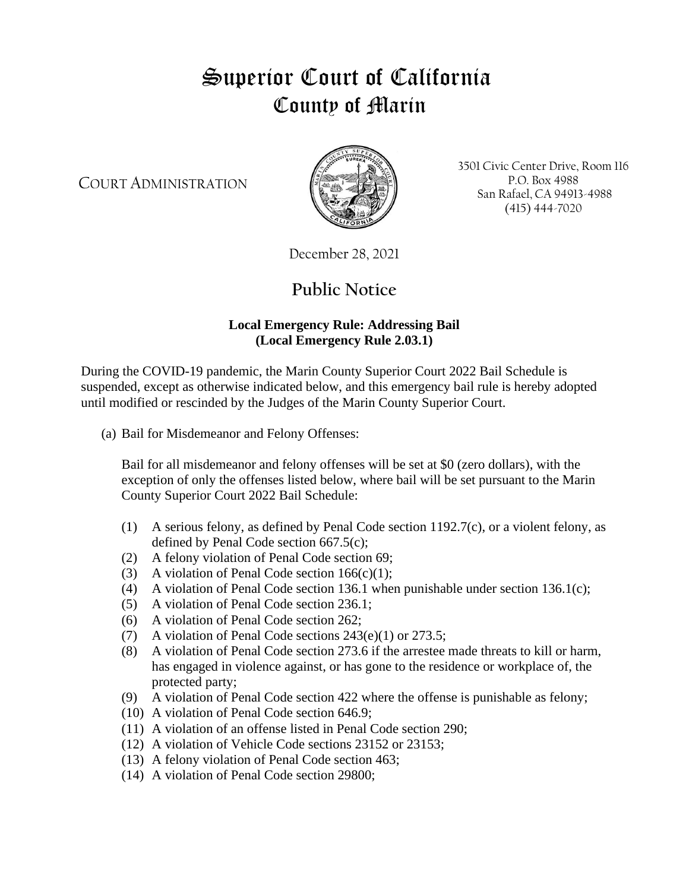## Superior Court of California County of Marin

COURT ADMINISTRATION



3501 Civic Center Drive, Room 116 P.O. Box 4988 San Rafael, CA 94913-4988 (415) 444-7020

December 28, 2021

## **Public Notice**

## **Local Emergency Rule: Addressing Bail (Local Emergency Rule 2.03.1)**

During the COVID-19 pandemic, the Marin County Superior Court 2022 Bail Schedule is suspended, except as otherwise indicated below, and this emergency bail rule is hereby adopted until modified or rescinded by the Judges of the Marin County Superior Court.

(a) Bail for Misdemeanor and Felony Offenses:

Bail for all misdemeanor and felony offenses will be set at \$0 (zero dollars), with the exception of only the offenses listed below, where bail will be set pursuant to the Marin County Superior Court 2022 Bail Schedule:

- (1) A serious felony, as defined by Penal Code section 1192.7(c), or a violent felony, as defined by Penal Code section 667.5(c);
- (2) A felony violation of Penal Code section 69;
- (3) A violation of Penal Code section  $166(c)(1)$ ;
- (4) A violation of Penal Code section 136.1 when punishable under section 136.1(c);
- (5) A violation of Penal Code section 236.1;
- (6) A violation of Penal Code section 262;
- (7) A violation of Penal Code sections 243(e)(1) or 273.5;
- (8) A violation of Penal Code section 273.6 if the arrestee made threats to kill or harm, has engaged in violence against, or has gone to the residence or workplace of, the protected party;
- (9) A violation of Penal Code section 422 where the offense is punishable as felony;
- (10) A violation of Penal Code section 646.9;
- (11) A violation of an offense listed in Penal Code section 290;
- (12) A violation of Vehicle Code sections 23152 or 23153;
- (13) A felony violation of Penal Code section 463;
- (14) A violation of Penal Code section 29800;